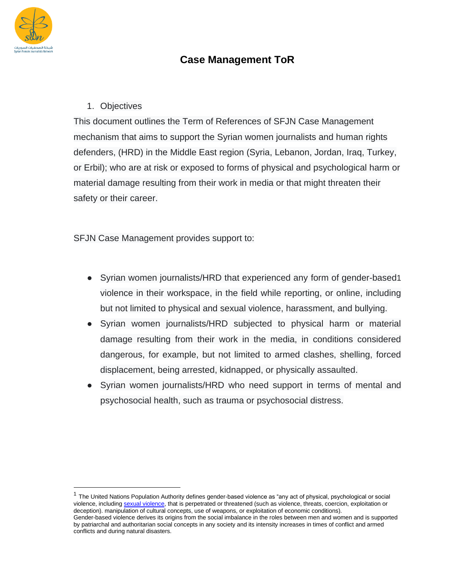

## **Case Management ToR**

## 1. Objectives

This document outlines the Term of References of SFJN Case Management mechanism that aims to support the Syrian women journalists and human rights defenders, (HRD) in the Middle East region (Syria, Lebanon, Jordan, Iraq, Turkey, or Erbil); who are at risk or exposed to forms of physical and psychological harm or material damage resulting from their work in media or that might threaten their safety or their career.

SFJN Case Management provides support to:

- Syrian women journalists/HRD that experienced any form of gender-based1 violence in their workspace, in the field while reporting, or online, including but not limited to physical and sexual violence, harassment, and bullying.
- Syrian women journalists/HRD subjected to physical harm or material damage resulting from their work in the media, in conditions considered dangerous, for example, but not limited to armed clashes, shelling, forced displacement, being arrested, kidnapped, or physically assaulted.
- Syrian women journalists/HRD who need support in terms of mental and psychosocial health, such as trauma or psychosocial distress.

<sup>&</sup>lt;sup>1</sup> The United Nations Population Authority defines gender-based violence as "any act of physical, psychological or social violence, includin[g sexual violence,](https://genderiyya.xyz/wiki/%D8%B9%D9%86%D9%81_%D8%AC%D9%86%D8%B3%D9%8A) that is perpetrated or threatened (such as violence, threats, coercion, exploitation or deception). manipulation of cultural concepts, use of weapons, or exploitation of economic conditions). Gender-based violence derives its origins from the social imbalance in the roles between men and women and is supported by patriarchal and authoritarian social concepts in any society and its intensity increases in times of conflict and armed conflicts and during natural disasters.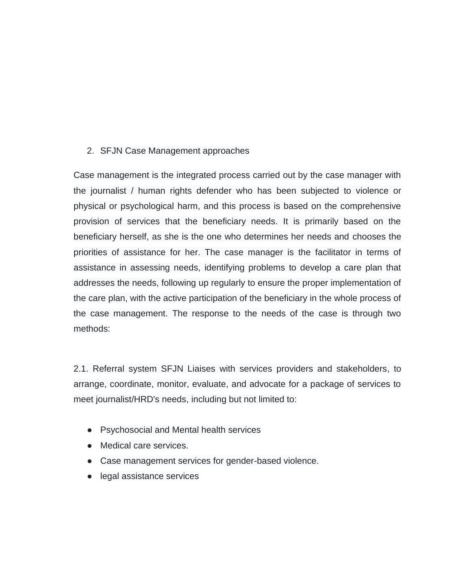## 2. SFJN Case Management approaches

Case management is the integrated process carried out by the case manager with the journalist / human rights defender who has been subjected to violence or physical or psychological harm, and this process is based on the comprehensive provision of services that the beneficiary needs. It is primarily based on the beneficiary herself, as she is the one who determines her needs and chooses the priorities of assistance for her. The case manager is the facilitator in terms of assistance in assessing needs, identifying problems to develop a care plan that addresses the needs, following up regularly to ensure the proper implementation of the care plan, with the active participation of the beneficiary in the whole process of the case management. The response to the needs of the case is through two methods:

2.1. Referral system SFJN Liaises with services providers and stakeholders, to arrange, coordinate, monitor, evaluate, and advocate for a package of services to meet journalist/HRD's needs, including but not limited to:

- Psychosocial and Mental health services
- Medical care services.
- Case management services for gender-based violence.
- legal assistance services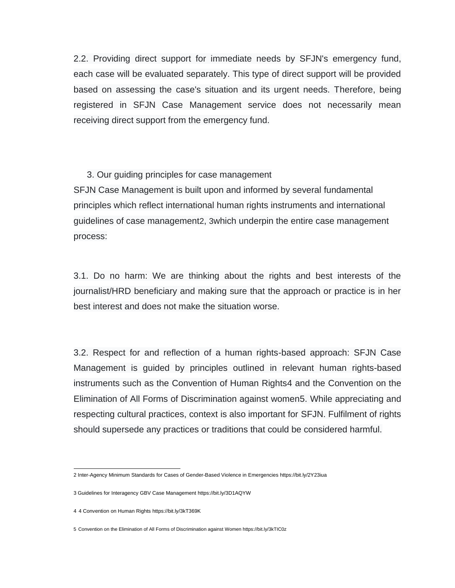2.2. Providing direct support for immediate needs by SFJN's emergency fund, each case will be evaluated separately. This type of direct support will be provided based on assessing the case's situation and its urgent needs. Therefore, being registered in SFJN Case Management service does not necessarily mean receiving direct support from the emergency fund.

## 3. Our guiding principles for case management

SFJN Case Management is built upon and informed by several fundamental principles which reflect international human rights instruments and international guidelines of case management2, 3which underpin the entire case management process:

3.1. Do no harm: We are thinking about the rights and best interests of the journalist/HRD beneficiary and making sure that the approach or practice is in her best interest and does not make the situation worse.

3.2. Respect for and reflection of a human rights-based approach: SFJN Case Management is guided by principles outlined in relevant human rights-based instruments such as the Convention of Human Rights4 and the Convention on the Elimination of All Forms of Discrimination against women5. While appreciating and respecting cultural practices, context is also important for SFJN. Fulfilment of rights should supersede any practices or traditions that could be considered harmful.

<sup>2</sup> Inter-Agency Minimum Standards for Cases of Gender-Based Violence in Emergencies https://bit.ly/2Y23iua

<sup>3</sup> Guidelines for Interagency GBV Case Management https://bit.ly/3D1AQYW

<sup>4</sup> 4 Convention on Human Rights https://bit.ly/3kT369K

<sup>5</sup> Convention on the Elimination of All Forms of Discrimination against Women https://bit.ly/3kTIC0z